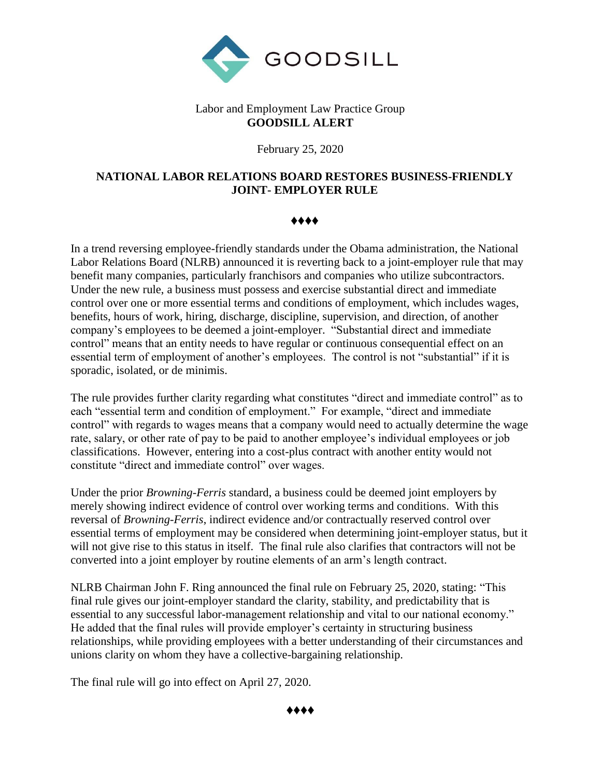

## Labor and Employment Law Practice Group **GOODSILL ALERT**

February 25, 2020

## **NATIONAL LABOR RELATIONS BOARD RESTORES BUSINESS-FRIENDLY JOINT- EMPLOYER RULE**

♦♦♦♦

In a trend reversing employee-friendly standards under the Obama administration, the National Labor Relations Board (NLRB) announced it is reverting back to a joint-employer rule that may benefit many companies, particularly franchisors and companies who utilize subcontractors. Under the new rule, a business must possess and exercise substantial direct and immediate control over one or more essential terms and conditions of employment, which includes wages, benefits, hours of work, hiring, discharge, discipline, supervision, and direction, of another company's employees to be deemed a joint-employer. "Substantial direct and immediate control" means that an entity needs to have regular or continuous consequential effect on an essential term of employment of another's employees. The control is not "substantial" if it is sporadic, isolated, or de minimis.

The rule provides further clarity regarding what constitutes "direct and immediate control" as to each "essential term and condition of employment." For example, "direct and immediate control" with regards to wages means that a company would need to actually determine the wage rate, salary, or other rate of pay to be paid to another employee's individual employees or job classifications. However, entering into a cost-plus contract with another entity would not constitute "direct and immediate control" over wages.

Under the prior *Browning-Ferris* standard, a business could be deemed joint employers by merely showing indirect evidence of control over working terms and conditions. With this reversal of *Browning-Ferris*, indirect evidence and/or contractually reserved control over essential terms of employment may be considered when determining joint-employer status, but it will not give rise to this status in itself. The final rule also clarifies that contractors will not be converted into a joint employer by routine elements of an arm's length contract.

NLRB Chairman John F. Ring announced the final rule on February 25, 2020, stating: "This final rule gives our joint-employer standard the clarity, stability, and predictability that is essential to any successful labor-management relationship and vital to our national economy." He added that the final rules will provide employer's certainty in structuring business relationships, while providing employees with a better understanding of their circumstances and unions clarity on whom they have a collective-bargaining relationship.

The final rule will go into effect on April 27, 2020.